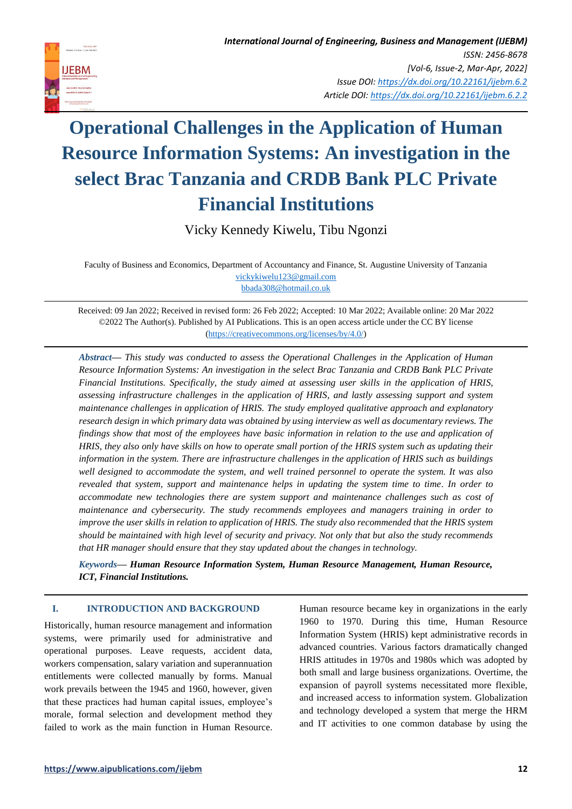

Vicky Kennedy Kiwelu, Tibu Ngonzi

Faculty of Business and Economics, Department of Accountancy and Finance, St. Augustine University of Tanzania [vickykiwelu123@gmail.com](mailto:vickykiwelu123@gmail.com) [bbada308@hotmail.co.uk](mailto:bbada308@hotmail.co.uk)

Received: 09 Jan 2022; Received in revised form: 26 Feb 2022; Accepted: 10 Mar 2022; Available online: 20 Mar 2022 ©2022 The Author(s). Published by AI Publications. This is an open access article under the CC BY license [\(https://creativecommons.org/licenses/by/4.0/\)](https://creativecommons.org/licenses/by/4.0/)

*Abstract— This study was conducted to assess the Operational Challenges in the Application of Human Resource Information Systems: An investigation in the select Brac Tanzania and CRDB Bank PLC Private Financial Institutions. Specifically, the study aimed at assessing user skills in the application of HRIS, assessing infrastructure challenges in the application of HRIS, and lastly assessing support and system maintenance challenges in application of HRIS. The study employed qualitative approach and explanatory research design in which primary data was obtained by using interview as well as documentary reviews. The findings show that most of the employees have basic information in relation to the use and application of HRIS, they also only have skills on how to operate small portion of the HRIS system such as updating their information in the system. There are infrastructure challenges in the application of HRIS such as buildings well designed to accommodate the system, and well trained personnel to operate the system. It was also revealed that system, support and maintenance helps in updating the system time to time. In order to accommodate new technologies there are system support and maintenance challenges such as cost of maintenance and cybersecurity. The study recommends employees and managers training in order to improve the user skills in relation to application of HRIS. The study also recommended that the HRIS system should be maintained with high level of security and privacy. Not only that but also the study recommends that HR manager should ensure that they stay updated about the changes in technology.* 

*Keywords— Human Resource Information System, Human Resource Management, Human Resource, ICT, Financial Institutions.* 

## **I. INTRODUCTION AND BACKGROUND**

Historically, human resource management and information systems, were primarily used for administrative and operational purposes. Leave requests, accident data, workers compensation, salary variation and superannuation entitlements were collected manually by forms. Manual work prevails between the 1945 and 1960, however, given that these practices had human capital issues, employee's morale, formal selection and development method they failed to work as the main function in Human Resource. Human resource became key in organizations in the early 1960 to 1970. During this time, Human Resource Information System (HRIS) kept administrative records in advanced countries. Various factors dramatically changed HRIS attitudes in 1970s and 1980s which was adopted by both small and large business organizations. Overtime, the expansion of payroll systems necessitated more flexible, and increased access to information system. Globalization and technology developed a system that merge the HRM and IT activities to one common database by using the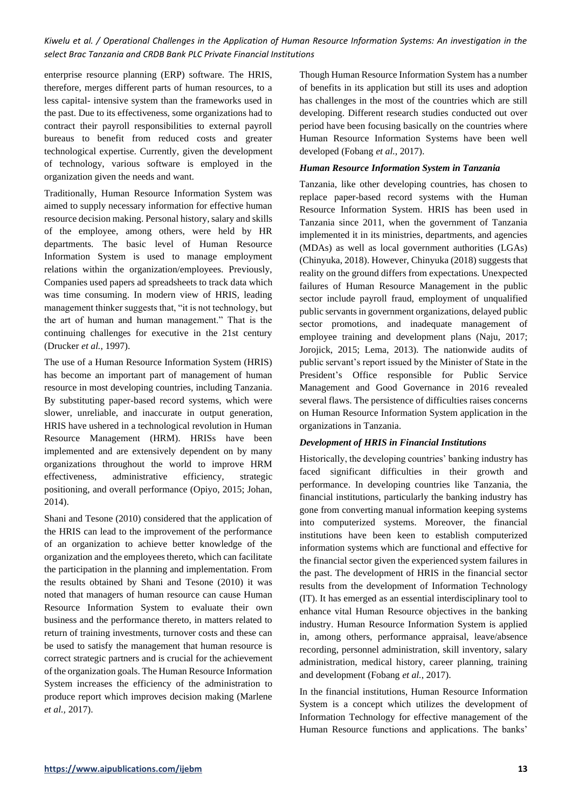enterprise resource planning (ERP) software. The HRIS, therefore, merges different parts of human resources, to a less capital- intensive system than the frameworks used in the past. Due to its effectiveness, some organizations had to contract their payroll responsibilities to external payroll bureaus to benefit from reduced costs and greater technological expertise. Currently, given the development of technology, various software is employed in the organization given the needs and want.

Traditionally, Human Resource Information System was aimed to supply necessary information for effective human resource decision making. Personal history, salary and skills of the employee, among others, were held by HR departments. The basic level of Human Resource Information System is used to manage employment relations within the organization/employees. Previously, Companies used papers ad spreadsheets to track data which was time consuming. In modern view of HRIS, leading management thinker suggests that, "it is not technology, but the art of human and human management." That is the continuing challenges for executive in the 21st century (Drucker *et al.*, 1997).

The use of a Human Resource Information System (HRIS) has become an important part of management of human resource in most developing countries, including Tanzania. By substituting paper-based record systems, which were slower, unreliable, and inaccurate in output generation, HRIS have ushered in a technological revolution in Human Resource Management (HRM). HRISs have been implemented and are extensively dependent on by many organizations throughout the world to improve HRM effectiveness, administrative efficiency, strategic positioning, and overall performance (Opiyo, 2015; Johan, 2014).

Shani and Tesone (2010) considered that the application of the HRIS can lead to the improvement of the performance of an organization to achieve better knowledge of the organization and the employees thereto, which can facilitate the participation in the planning and implementation. From the results obtained by Shani and Tesone (2010) it was noted that managers of human resource can cause Human Resource Information System to evaluate their own business and the performance thereto, in matters related to return of training investments, turnover costs and these can be used to satisfy the management that human resource is correct strategic partners and is crucial for the achievement of the organization goals. The Human Resource Information System increases the efficiency of the administration to produce report which improves decision making (Marlene *et al.,* 2017).

Though Human Resource Information System has a number of benefits in its application but still its uses and adoption has challenges in the most of the countries which are still developing. Different research studies conducted out over period have been focusing basically on the countries where Human Resource Information Systems have been well developed (Fobang *et al.*, 2017).

#### *Human Resource Information System in Tanzania*

Tanzania, like other developing countries, has chosen to replace paper-based record systems with the Human Resource Information System. HRIS has been used in Tanzania since 2011, when the government of Tanzania implemented it in its ministries, departments, and agencies (MDAs) as well as local government authorities (LGAs) (Chinyuka, 2018). However, Chinyuka (2018) suggests that reality on the ground differs from expectations. Unexpected failures of Human Resource Management in the public sector include payroll fraud, employment of unqualified public servants in government organizations, delayed public sector promotions, and inadequate management of employee training and development plans (Naju, 2017; Jorojick, 2015; Lema, 2013). The nationwide audits of public servant's report issued by the Minister of State in the President's Office responsible for Public Service Management and Good Governance in 2016 revealed several flaws. The persistence of difficulties raises concerns on Human Resource Information System application in the organizations in Tanzania.

## *Development of HRIS in Financial Institutions*

Historically, the developing countries' banking industry has faced significant difficulties in their growth and performance. In developing countries like Tanzania, the financial institutions, particularly the banking industry has gone from converting manual information keeping systems into computerized systems. Moreover, the financial institutions have been keen to establish computerized information systems which are functional and effective for the financial sector given the experienced system failures in the past. The development of HRIS in the financial sector results from the development of Information Technology (IT). It has emerged as an essential interdisciplinary tool to enhance vital Human Resource objectives in the banking industry. Human Resource Information System is applied in, among others, performance appraisal, leave/absence recording, personnel administration, skill inventory, salary administration, medical history, career planning, training and development (Fobang *et al.*, 2017).

In the financial institutions, Human Resource Information System is a concept which utilizes the development of Information Technology for effective management of the Human Resource functions and applications. The banks'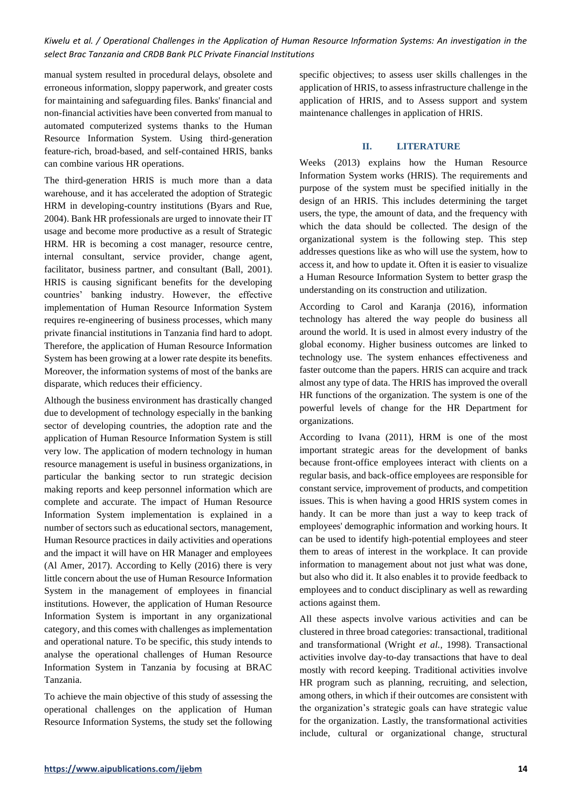manual system resulted in procedural delays, obsolete and erroneous information, sloppy paperwork, and greater costs for maintaining and safeguarding files. Banks' financial and non-financial activities have been converted from manual to automated computerized systems thanks to the Human Resource Information System. Using third-generation feature-rich, broad-based, and self-contained HRIS, banks can combine various HR operations.

The third-generation HRIS is much more than a data warehouse, and it has accelerated the adoption of Strategic HRM in developing-country institutions (Byars and Rue, 2004). Bank HR professionals are urged to innovate their IT usage and become more productive as a result of Strategic HRM. HR is becoming a cost manager, resource centre, internal consultant, service provider, change agent, facilitator, business partner, and consultant (Ball, 2001). HRIS is causing significant benefits for the developing countries' banking industry. However, the effective implementation of Human Resource Information System requires re-engineering of business processes, which many private financial institutions in Tanzania find hard to adopt. Therefore, the application of Human Resource Information System has been growing at a lower rate despite its benefits. Moreover, the information systems of most of the banks are disparate, which reduces their efficiency.

Although the business environment has drastically changed due to development of technology especially in the banking sector of developing countries, the adoption rate and the application of Human Resource Information System is still very low. The application of modern technology in human resource management is useful in business organizations, in particular the banking sector to run strategic decision making reports and keep personnel information which are complete and accurate. The impact of Human Resource Information System implementation is explained in a number of sectors such as educational sectors, management, Human Resource practices in daily activities and operations and the impact it will have on HR Manager and employees (Al Amer, 2017). According to Kelly (2016) there is very little concern about the use of Human Resource Information System in the management of employees in financial institutions. However, the application of Human Resource Information System is important in any organizational category, and this comes with challenges as implementation and operational nature. To be specific, this study intends to analyse the operational challenges of Human Resource Information System in Tanzania by focusing at BRAC Tanzania.

To achieve the main objective of this study of assessing the operational challenges on the application of Human Resource Information Systems, the study set the following specific objectives; to assess user skills challenges in the application of HRIS, to assess infrastructure challenge in the application of HRIS, and to Assess support and system maintenance challenges in application of HRIS.

#### **II. LITERATURE**

Weeks (2013) explains how the Human Resource Information System works (HRIS). The requirements and purpose of the system must be specified initially in the design of an HRIS. This includes determining the target users, the type, the amount of data, and the frequency with which the data should be collected. The design of the organizational system is the following step. This step addresses questions like as who will use the system, how to access it, and how to update it. Often it is easier to visualize a Human Resource Information System to better grasp the understanding on its construction and utilization.

According to Carol and Karanja (2016), information technology has altered the way people do business all around the world. It is used in almost every industry of the global economy. Higher business outcomes are linked to technology use. The system enhances effectiveness and faster outcome than the papers. HRIS can acquire and track almost any type of data. The HRIS has improved the overall HR functions of the organization. The system is one of the powerful levels of change for the HR Department for organizations.

According to Ivana (2011), HRM is one of the most important strategic areas for the development of banks because front-office employees interact with clients on a regular basis, and back-office employees are responsible for constant service, improvement of products, and competition issues. This is when having a good HRIS system comes in handy. It can be more than just a way to keep track of employees' demographic information and working hours. It can be used to identify high-potential employees and steer them to areas of interest in the workplace. It can provide information to management about not just what was done, but also who did it. It also enables it to provide feedback to employees and to conduct disciplinary as well as rewarding actions against them.

All these aspects involve various activities and can be clustered in three broad categories: transactional, traditional and transformational (Wright *et al.*, 1998). Transactional activities involve day-to-day transactions that have to deal mostly with record keeping. Traditional activities involve HR program such as planning, recruiting, and selection, among others, in which if their outcomes are consistent with the organization's strategic goals can have strategic value for the organization. Lastly, the transformational activities include, cultural or organizational change, structural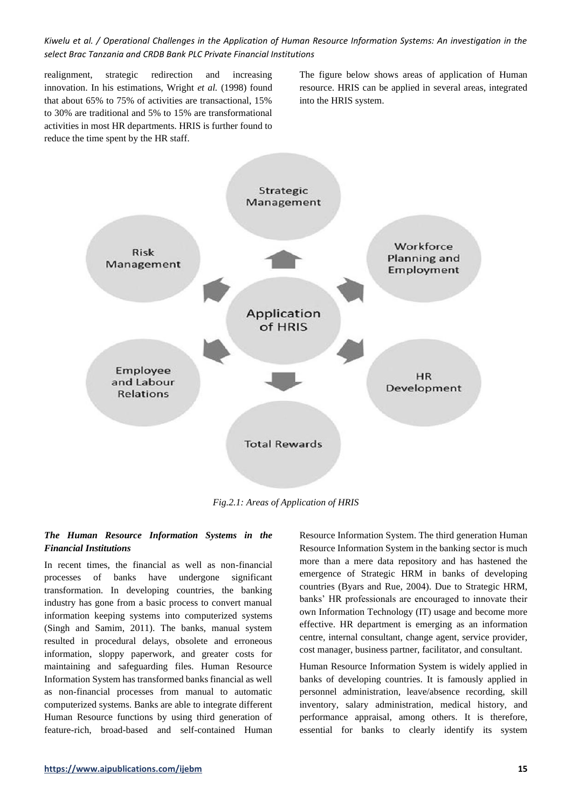realignment, strategic redirection and increasing innovation. In his estimations, Wright *et al.* (1998) found that about 65% to 75% of activities are transactional, 15% to 30% are traditional and 5% to 15% are transformational activities in most HR departments. HRIS is further found to reduce the time spent by the HR staff.

The figure below shows areas of application of Human resource. HRIS can be applied in several areas, integrated into the HRIS system.



*Fig.2.1: Areas of Application of HRIS*

## *The Human Resource Information Systems in the Financial Institutions*

In recent times, the financial as well as non-financial processes of banks have undergone significant transformation. In developing countries, the banking industry has gone from a basic process to convert manual information keeping systems into computerized systems (Singh and Samim, 2011). The banks, manual system resulted in procedural delays, obsolete and erroneous information, sloppy paperwork, and greater costs for maintaining and safeguarding files. Human Resource Information System has transformed banks financial as well as non-financial processes from manual to automatic computerized systems. Banks are able to integrate different Human Resource functions by using third generation of feature-rich, broad-based and self-contained Human Resource Information System. The third generation Human Resource Information System in the banking sector is much more than a mere data repository and has hastened the emergence of Strategic HRM in banks of developing countries (Byars and Rue, 2004). Due to Strategic HRM, banks' HR professionals are encouraged to innovate their own Information Technology (IT) usage and become more effective. HR department is emerging as an information centre, internal consultant, change agent, service provider, cost manager, business partner, facilitator, and consultant.

Human Resource Information System is widely applied in banks of developing countries. It is famously applied in personnel administration, leave/absence recording, skill inventory, salary administration, medical history, and performance appraisal, among others. It is therefore, essential for banks to clearly identify its system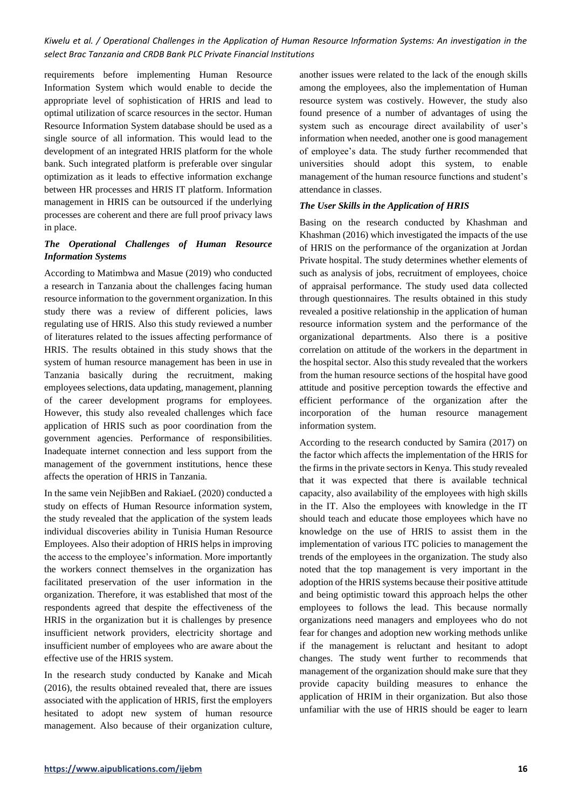requirements before implementing Human Resource Information System which would enable to decide the appropriate level of sophistication of HRIS and lead to optimal utilization of scarce resources in the sector. Human Resource Information System database should be used as a single source of all information. This would lead to the development of an integrated HRIS platform for the whole bank. Such integrated platform is preferable over singular optimization as it leads to effective information exchange between HR processes and HRIS IT platform. Information management in HRIS can be outsourced if the underlying processes are coherent and there are full proof privacy laws in place.

# *The Operational Challenges of Human Resource Information Systems*

According to Matimbwa and Masue (2019) who conducted a research in Tanzania about the challenges facing human resource information to the government organization. In this study there was a review of different policies, laws regulating use of HRIS. Also this study reviewed a number of literatures related to the issues affecting performance of HRIS. The results obtained in this study shows that the system of human resource management has been in use in Tanzania basically during the recruitment, making employees selections, data updating, management, planning of the career development programs for employees. However, this study also revealed challenges which face application of HRIS such as poor coordination from the government agencies. Performance of responsibilities. Inadequate internet connection and less support from the management of the government institutions, hence these affects the operation of HRIS in Tanzania.

In the same vein NejibBen and RakiaeL (2020) conducted a study on effects of Human Resource information system, the study revealed that the application of the system leads individual discoveries ability in Tunisia Human Resource Employees. Also their adoption of HRIS helps in improving the access to the employee's information. More importantly the workers connect themselves in the organization has facilitated preservation of the user information in the organization. Therefore, it was established that most of the respondents agreed that despite the effectiveness of the HRIS in the organization but it is challenges by presence insufficient network providers, electricity shortage and insufficient number of employees who are aware about the effective use of the HRIS system.

In the research study conducted by Kanake and Micah (2016), the results obtained revealed that, there are issues associated with the application of HRIS, first the employers hesitated to adopt new system of human resource management. Also because of their organization culture, another issues were related to the lack of the enough skills among the employees, also the implementation of Human resource system was costively. However, the study also found presence of a number of advantages of using the system such as encourage direct availability of user's information when needed, another one is good management of employee's data. The study further recommended that universities should adopt this system, to enable management of the human resource functions and student's attendance in classes.

## *The User Skills in the Application of HRIS*

Basing on the research conducted by Khashman and Khashman (2016) which investigated the impacts of the use of HRIS on the performance of the organization at Jordan Private hospital. The study determines whether elements of such as analysis of jobs, recruitment of employees, choice of appraisal performance. The study used data collected through questionnaires. The results obtained in this study revealed a positive relationship in the application of human resource information system and the performance of the organizational departments. Also there is a positive correlation on attitude of the workers in the department in the hospital sector. Also this study revealed that the workers from the human resource sections of the hospital have good attitude and positive perception towards the effective and efficient performance of the organization after the incorporation of the human resource management information system.

According to the research conducted by Samira (2017) on the factor which affects the implementation of the HRIS for the firms in the private sectors in Kenya. This study revealed that it was expected that there is available technical capacity, also availability of the employees with high skills in the IT. Also the employees with knowledge in the IT should teach and educate those employees which have no knowledge on the use of HRIS to assist them in the implementation of various ITC policies to management the trends of the employees in the organization. The study also noted that the top management is very important in the adoption of the HRIS systems because their positive attitude and being optimistic toward this approach helps the other employees to follows the lead. This because normally organizations need managers and employees who do not fear for changes and adoption new working methods unlike if the management is reluctant and hesitant to adopt changes. The study went further to recommends that management of the organization should make sure that they provide capacity building measures to enhance the application of HRIM in their organization. But also those unfamiliar with the use of HRIS should be eager to learn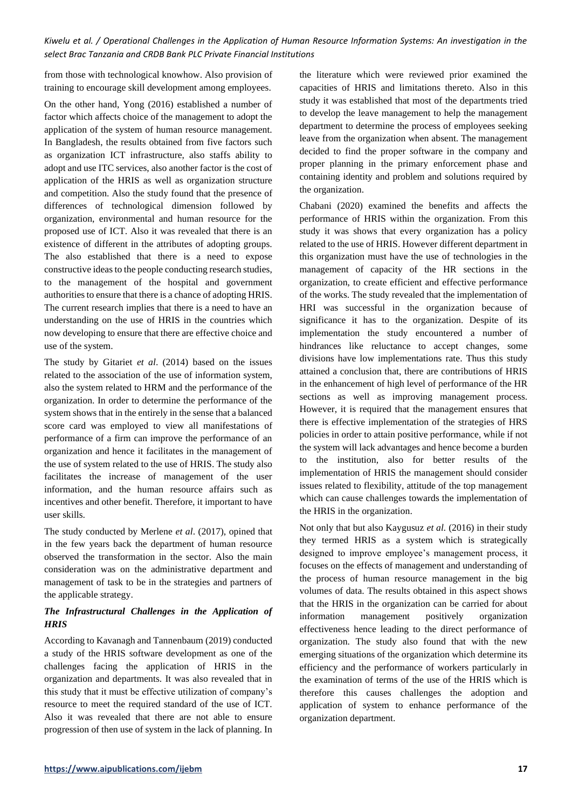from those with technological knowhow. Also provision of training to encourage skill development among employees.

On the other hand, Yong (2016) established a number of factor which affects choice of the management to adopt the application of the system of human resource management. In Bangladesh, the results obtained from five factors such as organization ICT infrastructure, also staffs ability to adopt and use ITC services, also another factor is the cost of application of the HRIS as well as organization structure and competition. Also the study found that the presence of differences of technological dimension followed by organization, environmental and human resource for the proposed use of ICT. Also it was revealed that there is an existence of different in the attributes of adopting groups. The also established that there is a need to expose constructive ideas to the people conducting research studies, to the management of the hospital and government authorities to ensure that there is a chance of adopting HRIS. The current research implies that there is a need to have an understanding on the use of HRIS in the countries which now developing to ensure that there are effective choice and use of the system.

The study by Gitariet *et al*. (2014) based on the issues related to the association of the use of information system, also the system related to HRM and the performance of the organization. In order to determine the performance of the system shows that in the entirely in the sense that a balanced score card was employed to view all manifestations of performance of a firm can improve the performance of an organization and hence it facilitates in the management of the use of system related to the use of HRIS. The study also facilitates the increase of management of the user information, and the human resource affairs such as incentives and other benefit. Therefore, it important to have user skills.

The study conducted by Merlene *et al*. (2017), opined that in the few years back the department of human resource observed the transformation in the sector. Also the main consideration was on the administrative department and management of task to be in the strategies and partners of the applicable strategy.

# *The Infrastructural Challenges in the Application of HRIS*

According to Kavanagh and Tannenbaum (2019) conducted a study of the HRIS software development as one of the challenges facing the application of HRIS in the organization and departments. It was also revealed that in this study that it must be effective utilization of company's resource to meet the required standard of the use of ICT. Also it was revealed that there are not able to ensure progression of then use of system in the lack of planning. In the literature which were reviewed prior examined the capacities of HRIS and limitations thereto. Also in this study it was established that most of the departments tried to develop the leave management to help the management department to determine the process of employees seeking leave from the organization when absent. The management decided to find the proper software in the company and proper planning in the primary enforcement phase and containing identity and problem and solutions required by the organization.

Chabani (2020) examined the benefits and affects the performance of HRIS within the organization. From this study it was shows that every organization has a policy related to the use of HRIS. However different department in this organization must have the use of technologies in the management of capacity of the HR sections in the organization, to create efficient and effective performance of the works. The study revealed that the implementation of HRI was successful in the organization because of significance it has to the organization. Despite of its implementation the study encountered a number of hindrances like reluctance to accept changes, some divisions have low implementations rate. Thus this study attained a conclusion that, there are contributions of HRIS in the enhancement of high level of performance of the HR sections as well as improving management process. However, it is required that the management ensures that there is effective implementation of the strategies of HRS policies in order to attain positive performance, while if not the system will lack advantages and hence become a burden to the institution, also for better results of the implementation of HRIS the management should consider issues related to flexibility, attitude of the top management which can cause challenges towards the implementation of the HRIS in the organization.

Not only that but also Kaygusuz *et al.* (2016) in their study they termed HRIS as a system which is strategically designed to improve employee's management process, it focuses on the effects of management and understanding of the process of human resource management in the big volumes of data. The results obtained in this aspect shows that the HRIS in the organization can be carried for about information management positively organization effectiveness hence leading to the direct performance of organization. The study also found that with the new emerging situations of the organization which determine its efficiency and the performance of workers particularly in the examination of terms of the use of the HRIS which is therefore this causes challenges the adoption and application of system to enhance performance of the organization department.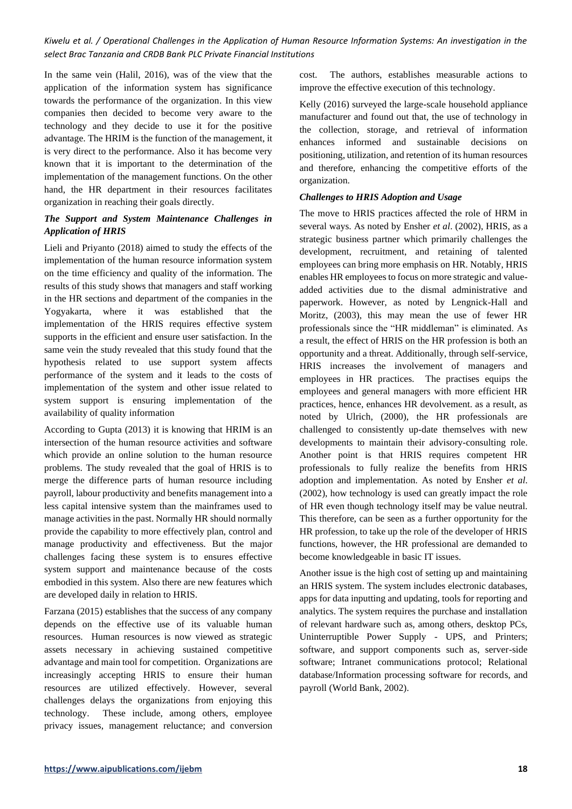In the same vein (Halil, 2016), was of the view that the application of the information system has significance towards the performance of the organization. In this view companies then decided to become very aware to the technology and they decide to use it for the positive advantage. The HRIM is the function of the management, it is very direct to the performance. Also it has become very known that it is important to the determination of the implementation of the management functions. On the other hand, the HR department in their resources facilitates organization in reaching their goals directly.

# *The Support and System Maintenance Challenges in Application of HRIS*

Lieli and Priyanto (2018) aimed to study the effects of the implementation of the human resource information system on the time efficiency and quality of the information. The results of this study shows that managers and staff working in the HR sections and department of the companies in the Yogyakarta, where it was established that the implementation of the HRIS requires effective system supports in the efficient and ensure user satisfaction. In the same vein the study revealed that this study found that the hypothesis related to use support system affects performance of the system and it leads to the costs of implementation of the system and other issue related to system support is ensuring implementation of the availability of quality information

According to Gupta (2013) it is knowing that HRIM is an intersection of the human resource activities and software which provide an online solution to the human resource problems. The study revealed that the goal of HRIS is to merge the difference parts of human resource including payroll, labour productivity and benefits management into a less capital intensive system than the mainframes used to manage activities in the past. Normally HR should normally provide the capability to more effectively plan, control and manage productivity and effectiveness. But the major challenges facing these system is to ensures effective system support and maintenance because of the costs embodied in this system. Also there are new features which are developed daily in relation to HRIS.

Farzana (2015) establishes that the success of any company depends on the effective use of its valuable human resources. Human resources is now viewed as strategic assets necessary in achieving sustained competitive advantage and main tool for competition. Organizations are increasingly accepting HRIS to ensure their human resources are utilized effectively. However, several challenges delays the organizations from enjoying this technology. These include, among others, employee privacy issues, management reluctance; and conversion

cost. The authors, establishes measurable actions to improve the effective execution of this technology.

Kelly (2016) surveyed the large-scale household appliance manufacturer and found out that, the use of technology in the collection, storage, and retrieval of information enhances informed and sustainable decisions on positioning, utilization, and retention of its human resources and therefore, enhancing the competitive efforts of the organization.

### *Challenges to HRIS Adoption and Usage*

The move to HRIS practices affected the role of HRM in several ways. As noted by Ensher *et al*. (2002), HRIS, as a strategic business partner which primarily challenges the development, recruitment, and retaining of talented employees can bring more emphasis on HR. Notably, HRIS enables HR employees to focus on more strategic and valueadded activities due to the dismal administrative and paperwork. However, as noted by Lengnick-Hall and Moritz, (2003), this may mean the use of fewer HR professionals since the "HR middleman" is eliminated. As a result, the effect of HRIS on the HR profession is both an opportunity and a threat. Additionally, through self-service, HRIS increases the involvement of managers and employees in HR practices. The practises equips the employees and general managers with more efficient HR practices, hence, enhances HR devolvement. as a result, as noted by Ulrich, (2000), the HR professionals are challenged to consistently up-date themselves with new developments to maintain their advisory-consulting role. Another point is that HRIS requires competent HR professionals to fully realize the benefits from HRIS adoption and implementation. As noted by Ensher *et al*. (2002), how technology is used can greatly impact the role of HR even though technology itself may be value neutral. This therefore, can be seen as a further opportunity for the HR profession, to take up the role of the developer of HRIS functions, however, the HR professional are demanded to become knowledgeable in basic IT issues.

Another issue is the high cost of setting up and maintaining an HRIS system. The system includes electronic databases, apps for data inputting and updating, tools for reporting and analytics. The system requires the purchase and installation of relevant hardware such as, among others, desktop PCs, Uninterruptible Power Supply - UPS, and Printers; software, and support components such as, server-side software; Intranet communications protocol; Relational database/Information processing software for records, and payroll (World Bank, 2002).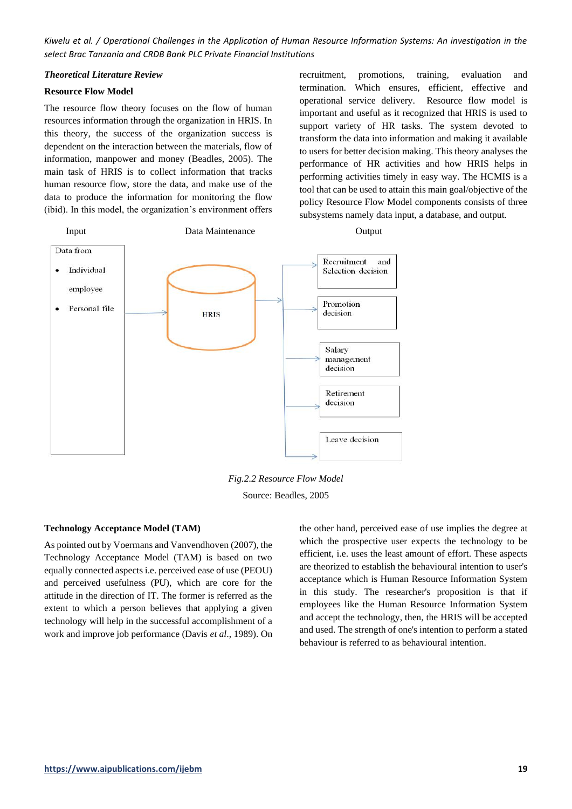#### *Theoretical Literature Review*

#### **Resource Flow Model**

The resource flow theory focuses on the flow of human resources information through the organization in HRIS. In this theory, the success of the organization success is dependent on the interaction between the materials, flow of information, manpower and money (Beadles, 2005). The main task of HRIS is to collect information that tracks human resource flow, store the data, and make use of the data to produce the information for monitoring the flow (ibid). In this model, the organization's environment offers recruitment, promotions, training, evaluation and termination. Which ensures, efficient, effective and operational service delivery. Resource flow model is important and useful as it recognized that HRIS is used to support variety of HR tasks. The system devoted to transform the data into information and making it available to users for better decision making. This theory analyses the performance of HR activities and how HRIS helps in performing activities timely in easy way. The HCMIS is a tool that can be used to attain this main goal/objective of the policy Resource Flow Model components consists of three subsystems namely data input, a database, and output.



*Fig.2.2 Resource Flow Model* Source: Beadles, 2005

#### **Technology Acceptance Model (TAM)**

As pointed out by Voermans and Vanvendhoven (2007), the Technology Acceptance Model (TAM) is based on two equally connected aspects i.e. perceived ease of use (PEOU) and perceived usefulness (PU), which are core for the attitude in the direction of IT. The former is referred as the extent to which a person believes that applying a given technology will help in the successful accomplishment of a work and improve job performance (Davis *et al*., 1989). On the other hand, perceived ease of use implies the degree at which the prospective user expects the technology to be efficient, i.e. uses the least amount of effort. These aspects are theorized to establish the behavioural intention to user's acceptance which is Human Resource Information System in this study. The researcher's proposition is that if employees like the Human Resource Information System and accept the technology, then, the HRIS will be accepted and used. The strength of one's intention to perform a stated behaviour is referred to as behavioural intention.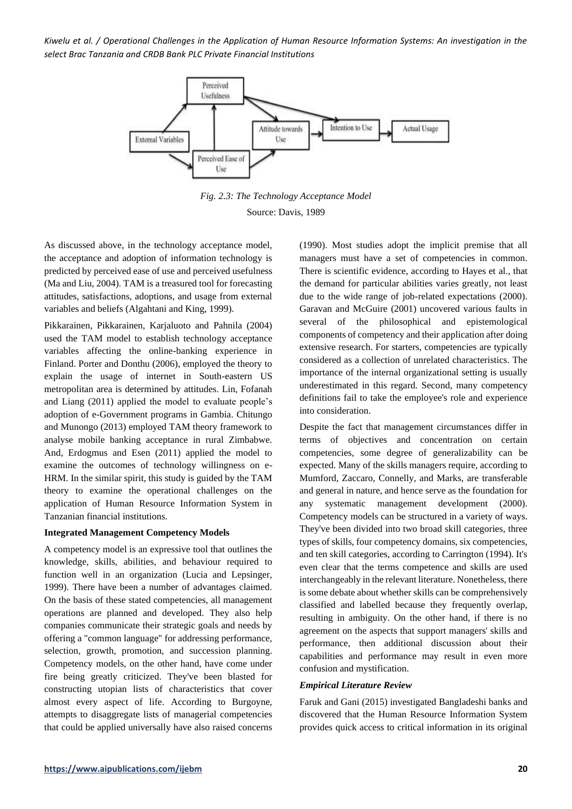

*Fig. 2.3: The Technology Acceptance Model* Source: Davis, 1989

As discussed above, in the technology acceptance model, the acceptance and adoption of information technology is predicted by perceived ease of use and perceived usefulness (Ma and Liu, 2004). TAM is a treasured tool for forecasting attitudes, satisfactions, adoptions, and usage from external variables and beliefs (Algahtani and King, 1999).

Pikkarainen, Pikkarainen, Karjaluoto and Pahnila (2004) used the TAM model to establish technology acceptance variables affecting the online-banking experience in Finland. Porter and Donthu (2006), employed the theory to explain the usage of internet in South-eastern US metropolitan area is determined by attitudes. Lin, Fofanah and Liang (2011) applied the model to evaluate people's adoption of e-Government programs in Gambia. Chitungo and Munongo (2013) employed TAM theory framework to analyse mobile banking acceptance in rural Zimbabwe. And, Erdogmus and Esen (2011) applied the model to examine the outcomes of technology willingness on e-HRM. In the similar spirit, this study is guided by the TAM theory to examine the operational challenges on the application of Human Resource Information System in Tanzanian financial institutions.

#### **Integrated Management Competency Models**

A competency model is an expressive tool that outlines the knowledge, skills, abilities, and behaviour required to function well in an organization (Lucia and Lepsinger, 1999). There have been a number of advantages claimed. On the basis of these stated competencies, all management operations are planned and developed. They also help companies communicate their strategic goals and needs by offering a "common language" for addressing performance, selection, growth, promotion, and succession planning. Competency models, on the other hand, have come under fire being greatly criticized. They've been blasted for constructing utopian lists of characteristics that cover almost every aspect of life. According to Burgoyne, attempts to disaggregate lists of managerial competencies that could be applied universally have also raised concerns

(1990). Most studies adopt the implicit premise that all managers must have a set of competencies in common. There is scientific evidence, according to Hayes et al., that the demand for particular abilities varies greatly, not least due to the wide range of job-related expectations (2000). Garavan and McGuire (2001) uncovered various faults in several of the philosophical and epistemological components of competency and their application after doing extensive research. For starters, competencies are typically considered as a collection of unrelated characteristics. The importance of the internal organizational setting is usually underestimated in this regard. Second, many competency definitions fail to take the employee's role and experience into consideration.

Despite the fact that management circumstances differ in terms of objectives and concentration on certain competencies, some degree of generalizability can be expected. Many of the skills managers require, according to Mumford, Zaccaro, Connelly, and Marks, are transferable and general in nature, and hence serve as the foundation for any systematic management development (2000). Competency models can be structured in a variety of ways. They've been divided into two broad skill categories, three types of skills, four competency domains, six competencies, and ten skill categories, according to Carrington (1994). It's even clear that the terms competence and skills are used interchangeably in the relevant literature. Nonetheless, there is some debate about whether skills can be comprehensively classified and labelled because they frequently overlap, resulting in ambiguity. On the other hand, if there is no agreement on the aspects that support managers' skills and performance, then additional discussion about their capabilities and performance may result in even more confusion and mystification.

#### *Empirical Literature Review*

Faruk and Gani (2015) investigated Bangladeshi banks and discovered that the Human Resource Information System provides quick access to critical information in its original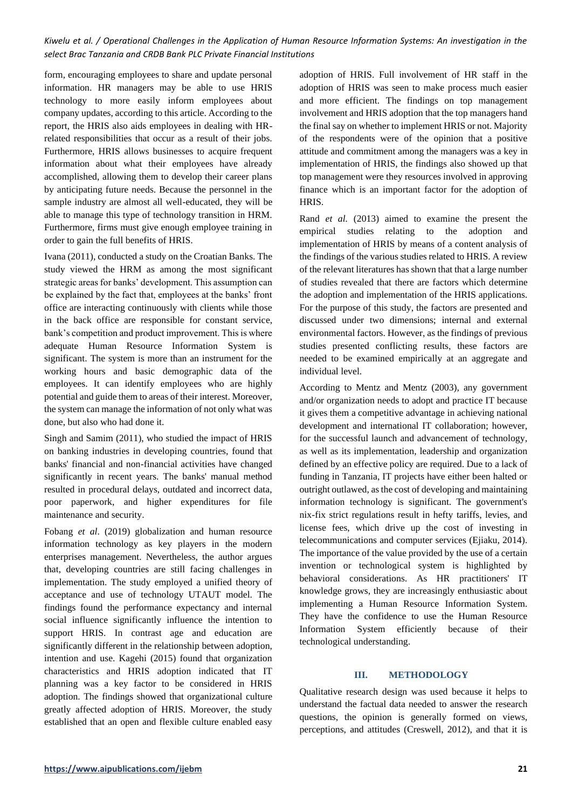form, encouraging employees to share and update personal information. HR managers may be able to use HRIS technology to more easily inform employees about company updates, according to this article. According to the report, the HRIS also aids employees in dealing with HRrelated responsibilities that occur as a result of their jobs. Furthermore, HRIS allows businesses to acquire frequent information about what their employees have already accomplished, allowing them to develop their career plans by anticipating future needs. Because the personnel in the sample industry are almost all well-educated, they will be able to manage this type of technology transition in HRM. Furthermore, firms must give enough employee training in order to gain the full benefits of HRIS.

Ivana (2011), conducted a study on the Croatian Banks. The study viewed the HRM as among the most significant strategic areas for banks' development. This assumption can be explained by the fact that, employees at the banks' front office are interacting continuously with clients while those in the back office are responsible for constant service, bank's competition and product improvement. This is where adequate Human Resource Information System is significant. The system is more than an instrument for the working hours and basic demographic data of the employees. It can identify employees who are highly potential and guide them to areas of their interest. Moreover, the system can manage the information of not only what was done, but also who had done it.

Singh and Samim (2011), who studied the impact of HRIS on banking industries in developing countries, found that banks' financial and non-financial activities have changed significantly in recent years. The banks' manual method resulted in procedural delays, outdated and incorrect data, poor paperwork, and higher expenditures for file maintenance and security.

Fobang *et al*. (2019) globalization and human resource information technology as key players in the modern enterprises management. Nevertheless, the author argues that, developing countries are still facing challenges in implementation. The study employed a unified theory of acceptance and use of technology UTAUT model. The findings found the performance expectancy and internal social influence significantly influence the intention to support HRIS. In contrast age and education are significantly different in the relationship between adoption, intention and use. Kagehi (2015) found that organization characteristics and HRIS adoption indicated that IT planning was a key factor to be considered in HRIS adoption. The findings showed that organizational culture greatly affected adoption of HRIS. Moreover, the study established that an open and flexible culture enabled easy

adoption of HRIS. Full involvement of HR staff in the adoption of HRIS was seen to make process much easier and more efficient. The findings on top management involvement and HRIS adoption that the top managers hand the final say on whether to implement HRIS or not. Majority of the respondents were of the opinion that a positive attitude and commitment among the managers was a key in implementation of HRIS, the findings also showed up that top management were they resources involved in approving finance which is an important factor for the adoption of HRIS.

Rand *et al.* (2013) aimed to examine the present the empirical studies relating to the adoption and implementation of HRIS by means of a content analysis of the findings of the various studies related to HRIS. A review of the relevant literatures has shown that that a large number of studies revealed that there are factors which determine the adoption and implementation of the HRIS applications. For the purpose of this study, the factors are presented and discussed under two dimensions; internal and external environmental factors. However, as the findings of previous studies presented conflicting results, these factors are needed to be examined empirically at an aggregate and individual level.

According to Mentz and Mentz (2003), any government and/or organization needs to adopt and practice IT because it gives them a competitive advantage in achieving national development and international IT collaboration; however, for the successful launch and advancement of technology, as well as its implementation, leadership and organization defined by an effective policy are required. Due to a lack of funding in Tanzania, IT projects have either been halted or outright outlawed, as the cost of developing and maintaining information technology is significant. The government's nix-fix strict regulations result in hefty tariffs, levies, and license fees, which drive up the cost of investing in telecommunications and computer services (Ejiaku, 2014). The importance of the value provided by the use of a certain invention or technological system is highlighted by behavioral considerations. As HR practitioners' IT knowledge grows, they are increasingly enthusiastic about implementing a Human Resource Information System. They have the confidence to use the Human Resource Information System efficiently because of their technological understanding.

#### **III. METHODOLOGY**

Qualitative research design was used because it helps to understand the factual data needed to answer the research questions, the opinion is generally formed on views, perceptions, and attitudes (Creswell, 2012), and that it is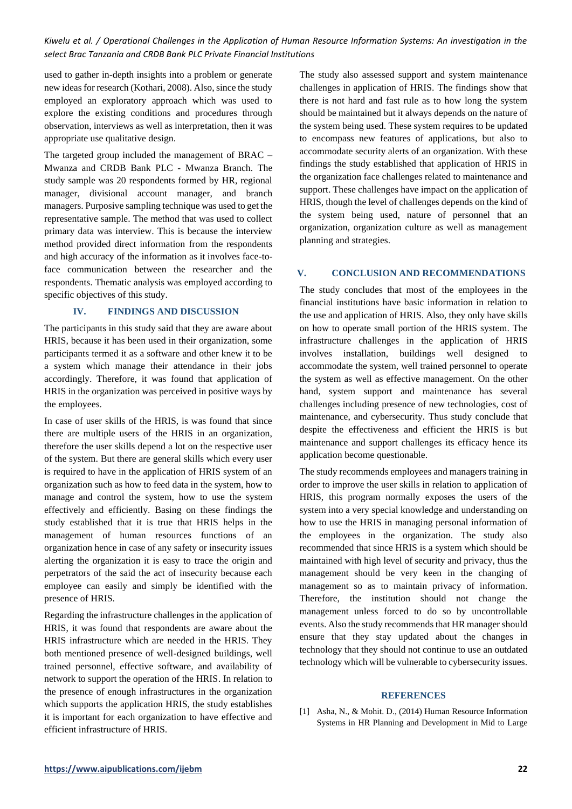used to gather in-depth insights into a problem or generate new ideas for research (Kothari, 2008). Also, since the study employed an exploratory approach which was used to explore the existing conditions and procedures through observation, interviews as well as interpretation, then it was appropriate use qualitative design.

The targeted group included the management of BRAC – Mwanza and CRDB Bank PLC - Mwanza Branch. The study sample was 20 respondents formed by HR, regional manager, divisional account manager, and branch managers. Purposive sampling technique was used to get the representative sample. The method that was used to collect primary data was interview. This is because the interview method provided direct information from the respondents and high accuracy of the information as it involves face-toface communication between the researcher and the respondents. Thematic analysis was employed according to specific objectives of this study.

## **IV. FINDINGS AND DISCUSSION**

The participants in this study said that they are aware about HRIS, because it has been used in their organization, some participants termed it as a software and other knew it to be a system which manage their attendance in their jobs accordingly. Therefore, it was found that application of HRIS in the organization was perceived in positive ways by the employees.

In case of user skills of the HRIS, is was found that since there are multiple users of the HRIS in an organization, therefore the user skills depend a lot on the respective user of the system. But there are general skills which every user is required to have in the application of HRIS system of an organization such as how to feed data in the system, how to manage and control the system, how to use the system effectively and efficiently. Basing on these findings the study established that it is true that HRIS helps in the management of human resources functions of an organization hence in case of any safety or insecurity issues alerting the organization it is easy to trace the origin and perpetrators of the said the act of insecurity because each employee can easily and simply be identified with the presence of HRIS.

Regarding the infrastructure challenges in the application of HRIS, it was found that respondents are aware about the HRIS infrastructure which are needed in the HRIS. They both mentioned presence of well-designed buildings, well trained personnel, effective software, and availability of network to support the operation of the HRIS. In relation to the presence of enough infrastructures in the organization which supports the application HRIS, the study establishes it is important for each organization to have effective and efficient infrastructure of HRIS.

The study also assessed support and system maintenance challenges in application of HRIS. The findings show that there is not hard and fast rule as to how long the system should be maintained but it always depends on the nature of the system being used. These system requires to be updated to encompass new features of applications, but also to accommodate security alerts of an organization. With these findings the study established that application of HRIS in the organization face challenges related to maintenance and support. These challenges have impact on the application of HRIS, though the level of challenges depends on the kind of the system being used, nature of personnel that an organization, organization culture as well as management planning and strategies.

## **V. CONCLUSION AND RECOMMENDATIONS**

The study concludes that most of the employees in the financial institutions have basic information in relation to the use and application of HRIS. Also, they only have skills on how to operate small portion of the HRIS system. The infrastructure challenges in the application of HRIS involves installation, buildings well designed to accommodate the system, well trained personnel to operate the system as well as effective management. On the other hand, system support and maintenance has several challenges including presence of new technologies, cost of maintenance, and cybersecurity. Thus study conclude that despite the effectiveness and efficient the HRIS is but maintenance and support challenges its efficacy hence its application become questionable.

The study recommends employees and managers training in order to improve the user skills in relation to application of HRIS, this program normally exposes the users of the system into a very special knowledge and understanding on how to use the HRIS in managing personal information of the employees in the organization. The study also recommended that since HRIS is a system which should be maintained with high level of security and privacy, thus the management should be very keen in the changing of management so as to maintain privacy of information. Therefore, the institution should not change the management unless forced to do so by uncontrollable events. Also the study recommends that HR manager should ensure that they stay updated about the changes in technology that they should not continue to use an outdated technology which will be vulnerable to cybersecurity issues.

#### **REFERENCES**

[1] Asha, N., & Mohit. D., (2014) Human Resource Information Systems in HR Planning and Development in Mid to Large